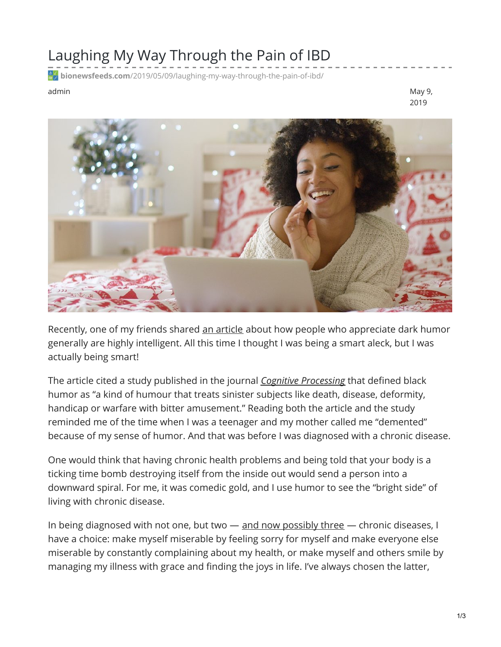## Laughing My Way Through the Pain of IBD

**bionewsfeeds.com**[/2019/05/09/laughing-my-way-through-the-pain-of-ibd/](https://bionewsfeeds.com/2019/05/09/laughing-my-way-through-the-pain-of-ibd/)

admin May 9, 2019



Recently, one of my friends shared an [article](https://curiosity.com/topics/a-dark-sense-of-humor-may-mean-you-have-a-high-iq-curiosity/) about how people who appreciate dark humor generally are highly intelligent. All this time I thought I was being a smart aleck, but I was actually being smart!

The article cited a study published in the journal *Cognitive [Processing](https://link.springer.com/article/10.1007/s10339-016-0789-y?wt_mc=Affiliate.CommissionJunction.3.EPR1089.DeepLink&utm_medium=affiliate&utm_source=commission_junction&utm_campaign=3_nsn6445_deeplink&utm_content=deeplink)* that defined black humor as "a kind of humour that treats sinister subjects like death, disease, deformity, handicap or warfare with bitter amusement." Reading both the article and the study reminded me of the time when I was a teenager and my mother called me "demented" because of my sense of humor. And that was before I was diagnosed with a chronic disease.

One would think that having chronic health problems and being told that your body is a ticking time bomb destroying itself from the inside out would send a person into a downward spiral. For me, it was comedic gold, and I use humor to see the "bright side" of living with chronic disease.

In being diagnosed with not one, but two  $-$  and now [possibly](https://ibdnewstoday.com/2019/05/02/ibd-related-diagnosis-youve-gotta-be-kidney-me-renal-effects/) three  $-$  chronic diseases, I have a choice: make myself miserable by feeling sorry for myself and make everyone else miserable by constantly complaining about my health, or make myself and others smile by managing my illness with grace and finding the joys in life. I've always chosen the latter,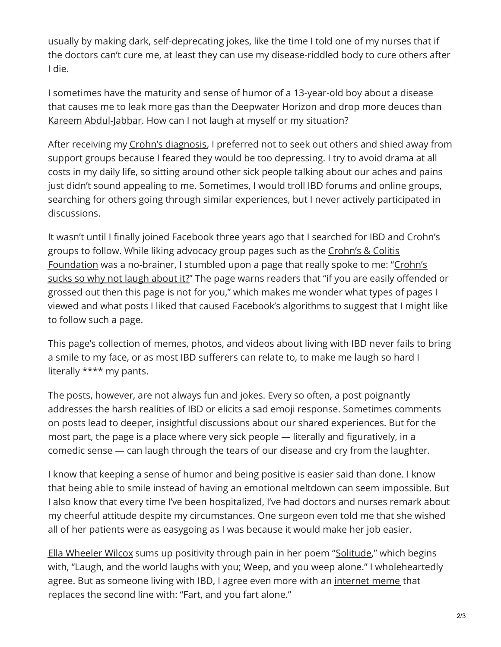usually by making dark, self-deprecating jokes, like the time I told one of my nurses that if the doctors can't cure me, at least they can use my disease-riddled body to cure others after I die.

I sometimes have the maturity and sense of humor of a 13-year-old boy about a disease that causes me to leak more gas than the [Deepwater](https://ocean.si.edu/conservation/pollution/gulf-oil-spill) Horizon and drop more deuces than Kareem [Abdul-Jabbar](https://www.nba.com/history/legends/profiles/kareem-abdul-jabbar). How can I not laugh at myself or my situation?

After receiving my Crohn's [diagnosis](https://ibdnewstoday.com/ibd-overview/), I preferred not to seek out others and shied away from support groups because I feared they would be too depressing. I try to avoid drama at all costs in my daily life, so sitting around other sick people talking about our aches and pains just didn't sound appealing to me. Sometimes, I would troll IBD forums and online groups, searching for others going through similar experiences, but I never actively participated in discussions.

It wasn't until I finally joined Facebook three years ago that I searched for IBD and Crohn's groups to follow. While liking advocacy group pages such as the Crohn's & Colitis [Foundation](https://www.facebook.com/ccfafb/) was a no-brainer, I stumbled upon a page that really spoke to me: "Crohn's sucks so why not laugh about it?" The page warns readers that "if you are easily offended or grossed out then this page is not for you," which makes me wonder what types of pages I viewed and what posts I liked that caused Facebook's algorithms to suggest that I might like to follow such a page.

This page's collection of memes, photos, and videos about living with IBD never fails to bring a smile to my face, or as most IBD sufferers can relate to, to make me laugh so hard I literally \*\*\*\* my pants.

The posts, however, are not always fun and jokes. Every so often, a post poignantly addresses the harsh realities of IBD or elicits a sad emoji response. Sometimes comments on posts lead to deeper, insightful discussions about our shared experiences. But for the most part, the page is a place where very sick people — literally and figuratively, in a comedic sense — can laugh through the tears of our disease and cry from the laughter.

I know that keeping a sense of humor and being positive is easier said than done. I know that being able to smile instead of having an emotional meltdown can seem impossible. But I also know that every time I've been hospitalized, I've had doctors and nurses remark about my cheerful attitude despite my circumstances. One surgeon even told me that she wished all of her patients were as easygoing as I was because it would make her job easier.

Ella [Wheeler](https://www.poetryfoundation.org/poets/ella-wheeler-wilcox) Wilcox sums up positivity through pain in her poem "[Solitude](https://www.poetryfoundation.org/poems/45937/solitude-56d225aad9924)," which begins with, "Laugh, and the world laughs with you; Weep, and you weep alone." I wholeheartedly agree. But as someone living with IBD, I agree even more with an [internet](https://www.someecards.com/usercards/viewcard/MjAxMi0xYjkxOGI3MGE2MzBlNTlh/?tagSlug=friendship) meme that replaces the second line with: "Fart, and you fart alone."